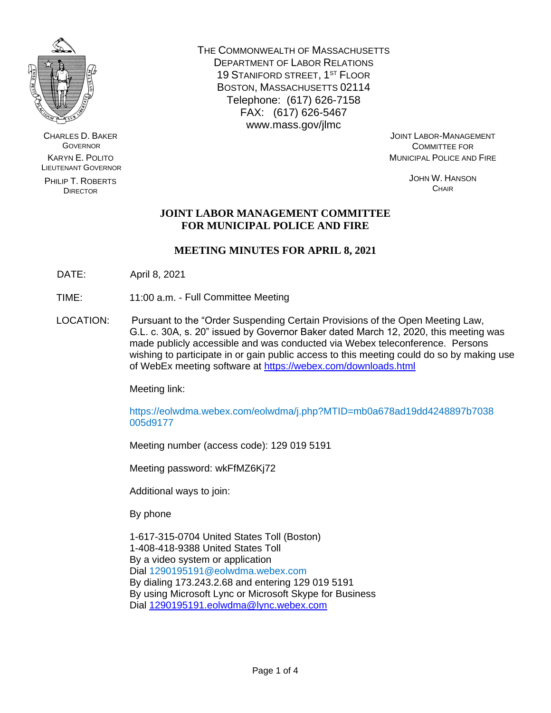

CHARLES D. BAKER **GOVERNOR** KARYN E. POLITO LIEUTENANT GOVERNOR

PHILIP T. ROBERTS DIRECTOR

THE COMMONWEALTH OF MASSACHUSETTS DEPARTMENT OF LABOR RELATIONS 19 STANIFORD STREET, 1ST FLOOR BOSTON, MASSACHUSETTS 02114 Telephone: (617) 626-7158 FAX: (617) 626-5467 www.mass.gov/jlmc

JOINT LABOR-MANAGEMENT COMMITTEE FOR MUNICIPAL POLICE AND FIRE

> JOHN W. HANSON **CHAIR**

# **JOINT LABOR MANAGEMENT COMMITTEE FOR MUNICIPAL POLICE AND FIRE**

# **MEETING MINUTES FOR APRIL 8, 2021**

- DATE: April 8, 2021
- TIME: 11:00 a.m. Full Committee Meeting
- LOCATION: Pursuant to the "Order Suspending Certain Provisions of the Open Meeting Law, G.L. c. 30A, s. 20" issued by Governor Baker dated March 12, 2020, this meeting was made publicly accessible and was conducted via Webex teleconference. Persons wishing to participate in or gain public access to this meeting could do so by making use of WebEx meeting software at<https://webex.com/downloads.html>

Meeting link:

https://eolwdma.webex.com/eolwdma/j.php?MTID=mb0a678ad19dd4248897b7038 005d9177

Meeting number (access code): 129 019 5191

Meeting password: wkFfMZ6Kj72

Additional ways to join:

By phone

1-617-315-0704 United States Toll (Boston) 1-408-418-9388 United States Toll By a video system or application Dial 1290195191@eolwdma.webex.com By dialing 173.243.2.68 and entering 129 019 5191 By using Microsoft Lync or Microsoft Skype for Business Dial [1290195191.eolwdma@lync.webex.com](mailto:1290195191.eolwdma@lync.webex.com)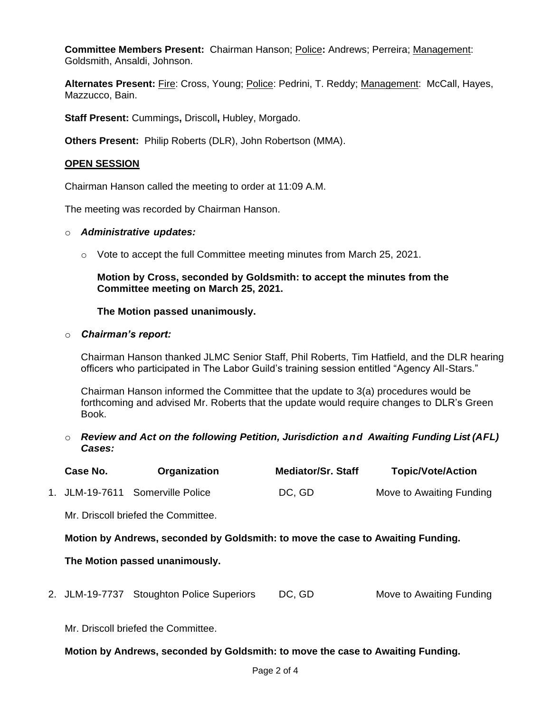**Committee Members Present:** Chairman Hanson; Police**:** Andrews; Perreira; Management: Goldsmith, Ansaldi, Johnson.

Alternates Present: Fire: Cross, Young; Police: Pedrini, T. Reddy; Management: McCall, Hayes, Mazzucco, Bain.

**Staff Present:** Cummings**,** Driscoll**,** Hubley, Morgado.

**Others Present:** Philip Roberts (DLR), John Robertson (MMA).

### **OPEN SESSION**

Chairman Hanson called the meeting to order at 11:09 A.M.

The meeting was recorded by Chairman Hanson.

#### o *Administrative updates:*

o Vote to accept the full Committee meeting minutes from March 25, 2021.

## **Motion by Cross, seconded by Goldsmith: to accept the minutes from the Committee meeting on March 25, 2021.**

### **The Motion passed unanimously.**

#### o *Chairman's report:*

Chairman Hanson thanked JLMC Senior Staff, Phil Roberts, Tim Hatfield, and the DLR hearing officers who participated in The Labor Guild's training session entitled "Agency All-Stars."

Chairman Hanson informed the Committee that the update to 3(a) procedures would be forthcoming and advised Mr. Roberts that the update would require changes to DLR's Green Book.

o *Review and Act on the following Petition, Jurisdiction and Awaiting Funding List (AFL) Cases:*

| Case No.                                                                        | Organization                              | <b>Mediator/Sr. Staff</b> | <b>Topic/Vote/Action</b> |  |  |  |
|---------------------------------------------------------------------------------|-------------------------------------------|---------------------------|--------------------------|--|--|--|
|                                                                                 | 1. JLM-19-7611 Somerville Police          | DC, GD                    | Move to Awaiting Funding |  |  |  |
|                                                                                 | Mr. Driscoll briefed the Committee.       |                           |                          |  |  |  |
| Motion by Andrews, seconded by Goldsmith: to move the case to Awaiting Funding. |                                           |                           |                          |  |  |  |
| The Motion passed unanimously.                                                  |                                           |                           |                          |  |  |  |
|                                                                                 | 2. JLM-19-7737 Stoughton Police Superiors | DC, GD                    | Move to Awaiting Funding |  |  |  |
| Mr. Driscoll briefed the Committee.                                             |                                           |                           |                          |  |  |  |

**Motion by Andrews, seconded by Goldsmith: to move the case to Awaiting Funding.**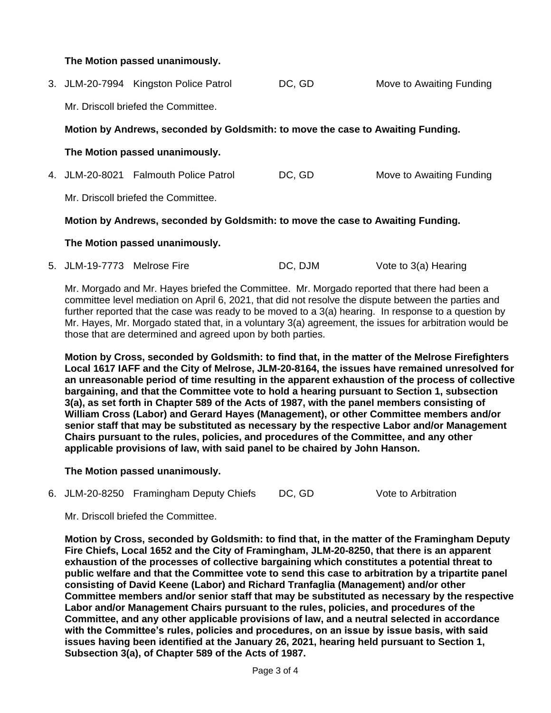**The Motion passed unanimously.**

|  |                                                                                                                        | 3. JLM-20-7994 Kingston Police Patrol | DC, GD | Move to Awaiting Funding |  |  |  |
|--|------------------------------------------------------------------------------------------------------------------------|---------------------------------------|--------|--------------------------|--|--|--|
|  | Mr. Driscoll briefed the Committee.                                                                                    |                                       |        |                          |  |  |  |
|  | Motion by Andrews, seconded by Goldsmith: to move the case to Awaiting Funding.                                        |                                       |        |                          |  |  |  |
|  | The Motion passed unanimously.                                                                                         |                                       |        |                          |  |  |  |
|  |                                                                                                                        | 4. JLM-20-8021 Falmouth Police Patrol | DC, GD | Move to Awaiting Funding |  |  |  |
|  | Mr. Driscoll briefed the Committee.<br>Motion by Andrews, seconded by Goldsmith: to move the case to Awaiting Funding. |                                       |        |                          |  |  |  |
|  |                                                                                                                        |                                       |        |                          |  |  |  |
|  |                                                                                                                        |                                       |        |                          |  |  |  |

## **The Motion passed unanimously.**

5. JLM-19-7773 Melrose Fire DC, DJM Vote to 3(a) Hearing

Mr. Morgado and Mr. Hayes briefed the Committee. Mr. Morgado reported that there had been a committee level mediation on April 6, 2021, that did not resolve the dispute between the parties and further reported that the case was ready to be moved to a 3(a) hearing. In response to a question by Mr. Hayes, Mr. Morgado stated that, in a voluntary 3(a) agreement, the issues for arbitration would be those that are determined and agreed upon by both parties.

**Motion by Cross, seconded by Goldsmith: to find that, in the matter of the Melrose Firefighters Local 1617 IAFF and the City of Melrose, JLM-20-8164, the issues have remained unresolved for an unreasonable period of time resulting in the apparent exhaustion of the process of collective bargaining, and that the Committee vote to hold a hearing pursuant to Section 1, subsection 3(a), as set forth in Chapter 589 of the Acts of 1987, with the panel members consisting of William Cross (Labor) and Gerard Hayes (Management), or other Committee members and/or senior staff that may be substituted as necessary by the respective Labor and/or Management Chairs pursuant to the rules, policies, and procedures of the Committee, and any other applicable provisions of law, with said panel to be chaired by John Hanson.**

## **The Motion passed unanimously.**

6. JLM-20-8250 Framingham Deputy Chiefs DC, GD Vote to Arbitration

Mr. Driscoll briefed the Committee.

**Motion by Cross, seconded by Goldsmith: to find that, in the matter of the Framingham Deputy Fire Chiefs, Local 1652 and the City of Framingham, JLM-20-8250, that there is an apparent exhaustion of the processes of collective bargaining which constitutes a potential threat to public welfare and that the Committee vote to send this case to arbitration by a tripartite panel consisting of David Keene (Labor) and Richard Tranfaglia (Management) and/or other Committee members and/or senior staff that may be substituted as necessary by the respective Labor and/or Management Chairs pursuant to the rules, policies, and procedures of the Committee, and any other applicable provisions of law, and a neutral selected in accordance with the Committee's rules, policies and procedures, on an issue by issue basis, with said issues having been identified at the January 26, 2021, hearing held pursuant to Section 1, Subsection 3(a), of Chapter 589 of the Acts of 1987.**